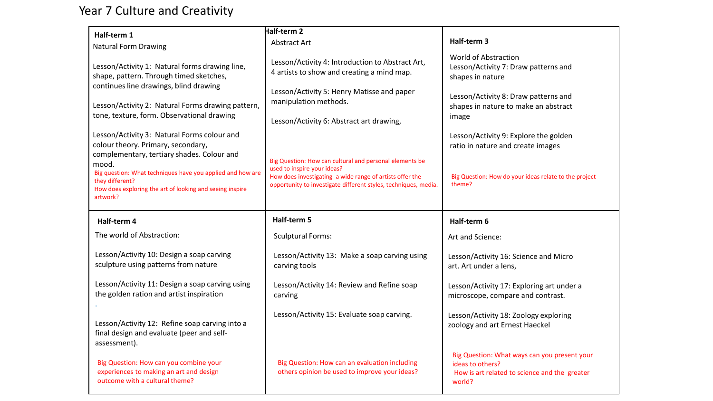## Year 7 Culture and Creativity

| Half-term 1                                                                                                                                                    | Half-term 2                                                                                                                                                                                                           |                                                                                         |
|----------------------------------------------------------------------------------------------------------------------------------------------------------------|-----------------------------------------------------------------------------------------------------------------------------------------------------------------------------------------------------------------------|-----------------------------------------------------------------------------------------|
| <b>Natural Form Drawing</b>                                                                                                                                    | <b>Abstract Art</b>                                                                                                                                                                                                   | Half-term 3                                                                             |
| Lesson/Activity 1: Natural forms drawing line,<br>shape, pattern. Through timed sketches,                                                                      | Lesson/Activity 4: Introduction to Abstract Art,<br>4 artists to show and creating a mind map.                                                                                                                        | <b>World of Abstraction</b><br>Lesson/Activity 7: Draw patterns and<br>shapes in nature |
| continues line drawings, blind drawing<br>Lesson/Activity 2: Natural Forms drawing pattern,<br>tone, texture, form. Observational drawing                      | Lesson/Activity 5: Henry Matisse and paper<br>manipulation methods.<br>Lesson/Activity 6: Abstract art drawing,                                                                                                       | Lesson/Activity 8: Draw patterns and<br>shapes in nature to make an abstract<br>image   |
| Lesson/Activity 3: Natural Forms colour and<br>colour theory. Primary, secondary,<br>complementary, tertiary shades. Colour and                                |                                                                                                                                                                                                                       | Lesson/Activity 9: Explore the golden<br>ratio in nature and create images              |
| mood.<br>Big question: What techniques have you applied and how are<br>they different?<br>How does exploring the art of looking and seeing inspire<br>artwork? | Big Question: How can cultural and personal elements be<br>used to inspire your ideas?<br>How does investigating a wide range of artists offer the<br>opportunity to investigate different styles, techniques, media. | Big Question: How do your ideas relate to the project<br>theme?                         |
|                                                                                                                                                                |                                                                                                                                                                                                                       |                                                                                         |
| Half-term 4                                                                                                                                                    | Half-term 5                                                                                                                                                                                                           | Half-term 6                                                                             |
| The world of Abstraction:                                                                                                                                      | <b>Sculptural Forms:</b>                                                                                                                                                                                              | Art and Science:                                                                        |
| Lesson/Activity 10: Design a soap carving<br>sculpture using patterns from nature                                                                              | Lesson/Activity 13: Make a soap carving using<br>carving tools                                                                                                                                                        | Lesson/Activity 16: Science and Micro<br>art. Art under a lens,                         |
| Lesson/Activity 11: Design a soap carving using<br>the golden ration and artist inspiration                                                                    | Lesson/Activity 14: Review and Refine soap<br>carving                                                                                                                                                                 | Lesson/Activity 17: Exploring art under a<br>microscope, compare and contrast.          |
| Lesson/Activity 12: Refine soap carving into a<br>final design and evaluate (peer and self-<br>assessment).                                                    | Lesson/Activity 15: Evaluate soap carving.                                                                                                                                                                            | Lesson/Activity 18: Zoology exploring<br>zoology and art Ernest Haeckel                 |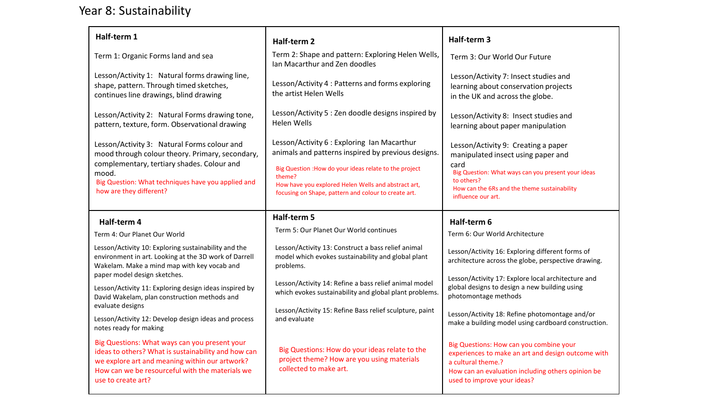## Year 8: Sustainability

| Half-term 1                                                                                                                                                                                                                            | Half-term 2                                                                                                                                                                                                                                                                          | Half-term 3                                                                                                                                                                                                                 |
|----------------------------------------------------------------------------------------------------------------------------------------------------------------------------------------------------------------------------------------|--------------------------------------------------------------------------------------------------------------------------------------------------------------------------------------------------------------------------------------------------------------------------------------|-----------------------------------------------------------------------------------------------------------------------------------------------------------------------------------------------------------------------------|
| Term 1: Organic Forms land and sea                                                                                                                                                                                                     | Term 2: Shape and pattern: Exploring Helen Wells,<br>Ian Macarthur and Zen doodles                                                                                                                                                                                                   | Term 3: Our World Our Future                                                                                                                                                                                                |
| Lesson/Activity 1: Natural forms drawing line,<br>shape, pattern. Through timed sketches,<br>continues line drawings, blind drawing                                                                                                    | Lesson/Activity 4 : Patterns and forms exploring<br>the artist Helen Wells                                                                                                                                                                                                           | Lesson/Activity 7: Insect studies and<br>learning about conservation projects<br>in the UK and across the globe.                                                                                                            |
| Lesson/Activity 2: Natural Forms drawing tone,<br>pattern, texture, form. Observational drawing                                                                                                                                        | Lesson/Activity 5 : Zen doodle designs inspired by<br><b>Helen Wells</b>                                                                                                                                                                                                             | Lesson/Activity 8: Insect studies and<br>learning about paper manipulation                                                                                                                                                  |
| Lesson/Activity 3: Natural Forms colour and<br>mood through colour theory. Primary, secondary,<br>complementary, tertiary shades. Colour and<br>mood.<br>Big Question: What techniques have you applied and<br>how are they different? | Lesson/Activity 6 : Exploring Ian Macarthur<br>animals and patterns inspired by previous designs.<br>Big Question : How do your ideas relate to the project<br>theme?<br>How have you explored Helen Wells and abstract art,<br>focusing on Shape, pattern and colour to create art. | Lesson/Activity 9: Creating a paper<br>manipulated insect using paper and<br>card<br>Big Question: What ways can you present your ideas<br>to others?<br>How can the 6Rs and the theme sustainability<br>influence our art. |
| Half-term 4                                                                                                                                                                                                                            | Half-term 5                                                                                                                                                                                                                                                                          | Half-term 6                                                                                                                                                                                                                 |
| Term 4: Our Planet Our World                                                                                                                                                                                                           | Term 5: Our Planet Our World continues                                                                                                                                                                                                                                               | Term 6: Our World Architecture                                                                                                                                                                                              |
| Lesson/Activity 10: Exploring sustainability and the<br>environment in art. Looking at the 3D work of Darrell<br>Wakelam. Make a mind map with key vocab and                                                                           | Lesson/Activity 13: Construct a bass relief animal<br>model which evokes sustainability and global plant<br>problems.                                                                                                                                                                | Lesson/Activity 16: Exploring different forms of<br>architecture across the globe, perspective drawing.                                                                                                                     |
| paper model design sketches.<br>Lesson/Activity 11: Exploring design ideas inspired by<br>David Wakelam, plan construction methods and                                                                                                 | Lesson/Activity 14: Refine a bass relief animal model<br>which evokes sustainability and global plant problems.                                                                                                                                                                      | Lesson/Activity 17: Explore local architecture and<br>global designs to design a new building using<br>photomontage methods                                                                                                 |
| evaluate designs<br>Lesson/Activity 12: Develop design ideas and process<br>notes ready for making                                                                                                                                     | Lesson/Activity 15: Refine Bass relief sculpture, paint<br>and evaluate                                                                                                                                                                                                              | Lesson/Activity 18: Refine photomontage and/or<br>make a building model using cardboard construction.                                                                                                                       |
| Big Questions: What ways can you present your<br>ideas to others? What is sustainability and how can<br>we explore art and meaning within our artwork?<br>How can we be resourceful with the materials we<br>use to create art?        | Big Questions: How do your ideas relate to the<br>project theme? How are you using materials<br>collected to make art.                                                                                                                                                               | Big Questions: How can you combine your<br>experiences to make an art and design outcome with<br>a cultural theme.?<br>How can an evaluation including others opinion be<br>used to improve your ideas?                     |